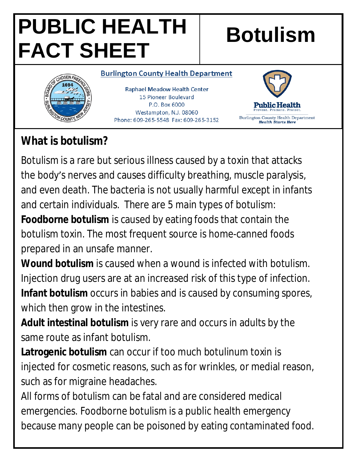# **PUBLIC HEALTH FACT SHEET**

## **Botulism**

#### **Burlington County Health Department**

**Raphael Meadow Health Center** 15 Pioneer Boulevard P.O. Box 6000 Westampton, N.J. 08060 Phone: 609-265-5548 Fax: 609-265-3152



### **What is botulism?**

Botulism is a rare but serious illness caused by a toxin that attacks the body's nerves and causes difficulty breathing, muscle paralysis, and even death. The bacteria is not usually harmful except in infants and certain individuals. There are 5 main types of botulism:

**Foodborne botulism** is caused by eating foods that contain the botulism toxin. The most frequent source is home-canned foods prepared in an unsafe manner.

**Wound botulism** is caused when a wound is infected with botulism. Injection drug users are at an increased risk of this type of infection. **Infant botulism** occurs in babies and is caused by consuming spores, which then grow in the intestines.

**Adult intestinal botulism** is very rare and occurs in adults by the same route as infant botulism.

**Latrogenic botulism** can occur if too much botulinum toxin is injected for cosmetic reasons, such as for wrinkles, or medial reason, such as for migraine headaches.

All forms of botulism can be fatal and are considered medical emergencies. Foodborne botulism is a public health emergency because many people can be poisoned by eating contaminated food.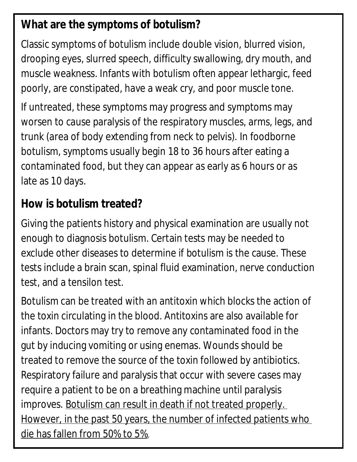#### **What are the symptoms of botulism?**

Classic symptoms of botulism include double vision, blurred vision, drooping eyes, slurred speech, difficulty swallowing, dry mouth, and muscle weakness. Infants with botulism often appear lethargic, feed poorly, are constipated, have a weak cry, and poor muscle tone.

If untreated, these symptoms may progress and symptoms may worsen to cause paralysis of the respiratory muscles, arms, legs, and trunk (area of body extending from neck to pelvis). In foodborne botulism, symptoms usually begin 18 to 36 hours after eating a contaminated food, but they can appear as early as 6 hours or as late as 10 days.

### **How is botulism treated?**

Giving the patients history and physical examination are usually not enough to diagnosis botulism. Certain tests may be needed to exclude other diseases to determine if botulism is the cause. These tests include a brain scan, spinal fluid examination, nerve conduction test, and a tensilon test.

Botulism can be treated with an antitoxin which blocks the action of the toxin circulating in the blood. Antitoxins are also available for infants. Doctors may try to remove any contaminated food in the gut by inducing vomiting or using enemas. Wounds should be treated to remove the source of the toxin followed by antibiotics. Respiratory failure and paralysis that occur with severe cases may require a patient to be on a breathing machine until paralysis improves. Botulism can result in death if not treated properly. However, in the past 50 years, the number of infected patients who die has fallen from 50% to 5%.